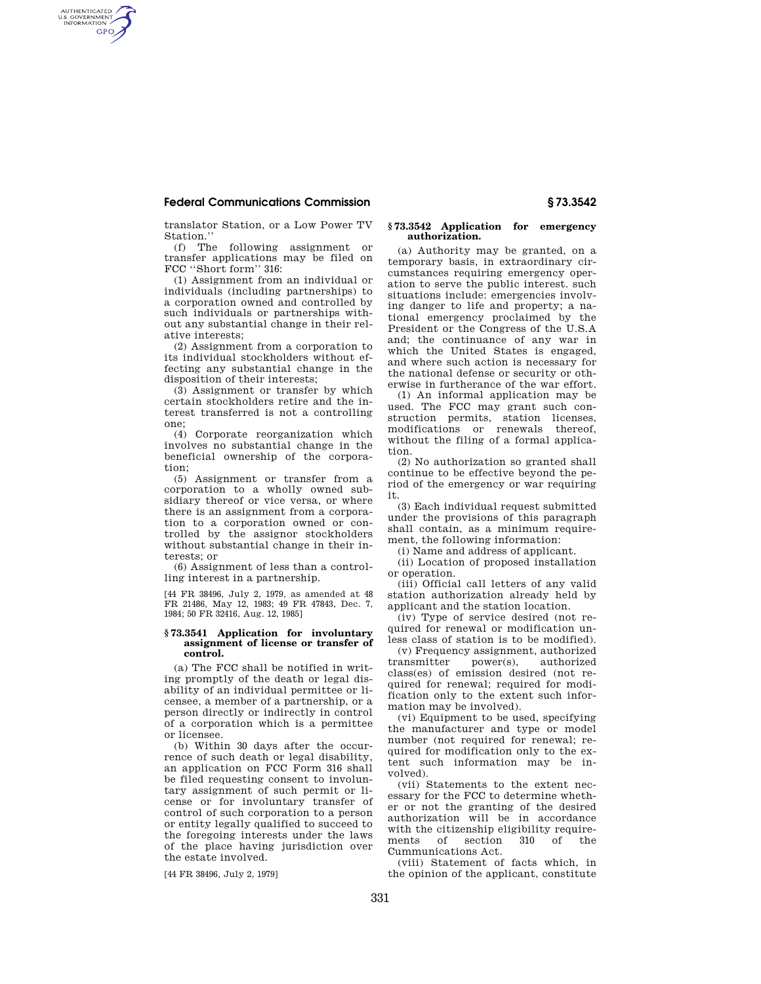# **Federal Communications Commission § 73.3542**

AUTHENTICATED<br>U.S. GOVERNMENT<br>INFORMATION **GPO** 

> translator Station, or a Low Power TV Station.'

(f) The following assignment or transfer applications may be filed on FCC ''Short form'' 316:

(1) Assignment from an individual or individuals (including partnerships) to a corporation owned and controlled by such individuals or partnerships without any substantial change in their relative interests;

(2) Assignment from a corporation to its individual stockholders without effecting any substantial change in the disposition of their interests;

(3) Assignment or transfer by which certain stockholders retire and the interest transferred is not a controlling one;

(4) Corporate reorganization which involves no substantial change in the beneficial ownership of the corporation;

(5) Assignment or transfer from a corporation to a wholly owned subsidiary thereof or vice versa, or where there is an assignment from a corporation to a corporation owned or controlled by the assignor stockholders without substantial change in their interests; or

(6) Assignment of less than a controlling interest in a partnership.

[44 FR 38496, July 2, 1979, as amended at 48 FR 21486, May 12, 1983; 49 FR 47843, Dec. 7, 1984; 50 FR 32416, Aug. 12, 1985]

#### **§ 73.3541 Application for involuntary assignment of license or transfer of control.**

(a) The FCC shall be notified in writing promptly of the death or legal disability of an individual permittee or licensee, a member of a partnership, or a person directly or indirectly in control of a corporation which is a permittee or licensee.

(b) Within 30 days after the occurrence of such death or legal disability, an application on FCC Form 316 shall be filed requesting consent to involuntary assignment of such permit or license or for involuntary transfer of control of such corporation to a person or entity legally qualified to succeed to the foregoing interests under the laws of the place having jurisdiction over the estate involved.

[44 FR 38496, July 2, 1979]

### **§ 73.3542 Application for emergency authorization.**

(a) Authority may be granted, on a temporary basis, in extraordinary circumstances requiring emergency operation to serve the public interest. such situations include: emergencies involving danger to life and property; a national emergency proclaimed by the President or the Congress of the U.S.A and; the continuance of any war in which the United States is engaged, and where such action is necessary for the national defense or security or otherwise in furtherance of the war effort.

(1) An informal application may be used. The FCC may grant such construction permits, station licenses, modifications or renewals thereof, without the filing of a formal application.

(2) No authorization so granted shall continue to be effective beyond the period of the emergency or war requiring it.

(3) Each individual request submitted under the provisions of this paragraph shall contain, as a minimum requirement, the following information:

(i) Name and address of applicant.

(ii) Location of proposed installation or operation.

(iii) Official call letters of any valid station authorization already held by applicant and the station location.

(iv) Type of service desired (not required for renewal or modification unless class of station is to be modified).

(v) Frequency assignment, authorized transmitter class(es) of emission desired (not required for renewal; required for modification only to the extent such information may be involved).

(vi) Equipment to be used, specifying the manufacturer and type or model number (not required for renewal; required for modification only to the extent such information may be involved).

(vii) Statements to the extent necessary for the FCC to determine whether or not the granting of the desired authorization will be in accordance with the citizenship eligibility require-<br>ments of section 310 of the ments of section 310 of the Cummunications Act.

(viii) Statement of facts which, in the opinion of the applicant, constitute